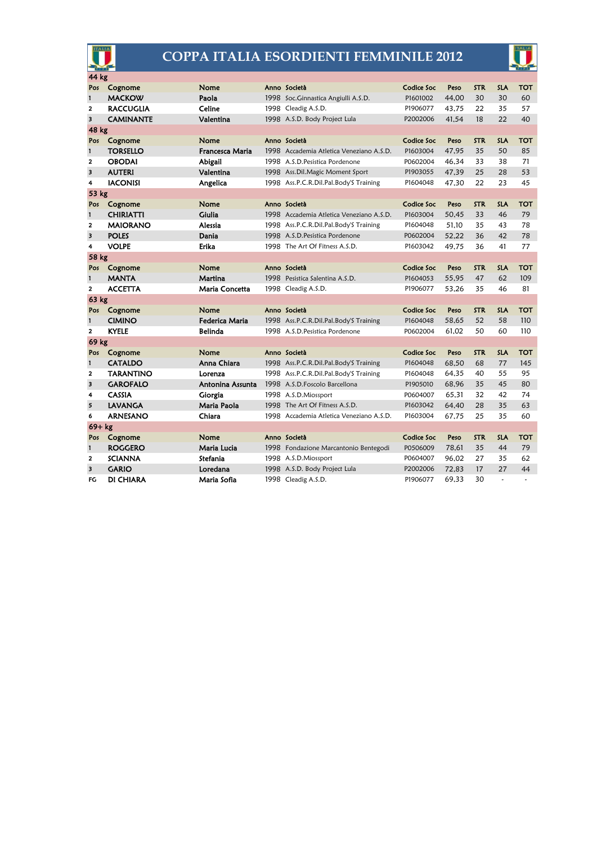## **COPPA ITALIA ESORDIENTI FEMMINILE 2012**



| <b>TALIA</b>            |                  |                  |  | <b>COPPA ITALIA ESORDIENTI FEMMINILE 2012</b> |            |       |            |              |                |
|-------------------------|------------------|------------------|--|-----------------------------------------------|------------|-------|------------|--------------|----------------|
| 44 kg                   |                  |                  |  |                                               |            |       |            |              |                |
| Pos                     | Cognome          | Nome             |  | Anno Società                                  | Codice Soc | Peso  | <b>STR</b> | <b>SLA</b>   | <b>TOT</b>     |
| $\mathbf{1}$            | <b>MACKOW</b>    | Paola            |  | 1998 Soc.Ginnastica Angiulli A.S.D.           | P1601002   | 44.00 | 30         | 30           | 60             |
| 2                       | <b>RACCUGLIA</b> | Celine           |  | 1998 Cleadig A.S.D.                           | P1906077   | 43,75 | 22         | 35           | 57             |
| $\overline{\mathbf{3}}$ | CAMINANTE        | Valentina        |  | 1998 A.S.D. Body Project Lula                 | P2002006   | 41.54 | 18         | 22           | 40             |
| 48 kg                   |                  |                  |  |                                               |            |       |            |              |                |
| Pos                     | Cognome          | Nome             |  | Anno Società                                  | Codice Soc | Peso  | <b>STR</b> | <b>SLA</b>   | тот            |
| $\mathbf{1}$            | <b>TORSELLO</b>  | Francesca Maria  |  | 1998 Accademia Atletica Veneziano A.S.D.      | P1603004   | 47.95 | 35         | 50           | 85             |
| $\overline{2}$          | <b>OBODAI</b>    | <b>Abigail</b>   |  | 1998 A.S.D. Pesistica Pordenone               | P0602004   | 46.34 | 33         | 38           | 71             |
| $\overline{\mathbf{3}}$ | <b>AUTERI</b>    | Valentina        |  | 1998 Ass.Dil.Magic Moment Sport               | P1903055   | 47,39 | 25         | 28           | 53             |
| 4                       | <b>IACONISI</b>  | Angelica         |  | 1998 Ass.P.C.R.Dil.Pal.Body'S Training        | P1604048   | 47.30 | 22         | 23           | 45             |
| 53 kg                   |                  |                  |  |                                               |            |       |            |              |                |
| Pos                     | Cognome          | Nome             |  | Anno Società                                  | Codice Soc | Peso  | <b>STR</b> | <b>SLA</b>   | <b>TOT</b>     |
| $\mathbf{1}$            | <b>CHIRIATTI</b> | Giulia           |  | 1998 Accademia Atletica Veneziano A.S.D.      | P1603004   | 50,45 | 33         | 46           | 79             |
| $\overline{2}$          | <b>MAIORANO</b>  | Alessia          |  | 1998 Ass.P.C.R.Dil.Pal.Body'S Training        | P1604048   | 51.10 | 35         | 43           | 78             |
| $\overline{\mathbf{3}}$ | <b>POLES</b>     | Dania            |  | 1998 A.S.D. Pesistica Pordenone               | P0602004   | 52.22 | 36         | 42           | 78             |
| 4                       | <b>VOLPE</b>     | <b>Erika</b>     |  | 1998 The Art Of Fitness A.S.D.                | P1603042   | 49.75 | 36         | 41           | 77             |
| 58 kg                   |                  |                  |  |                                               |            |       |            |              |                |
| Pos                     | Cognome          | Nome             |  | Anno Società                                  | Codice Soc | Peso  | <b>STR</b> | <b>SLA</b>   | <b>TOT</b>     |
| $\mathbf{1}$            | <b>MANTA</b>     | Martina          |  | 1998 Pesistica Salentina A.S.D.               | P1604053   | 55.95 | 47         | 62           | 109            |
| $\overline{\mathbf{2}}$ | <b>ACCETTA</b>   | Maria Concetta   |  | 1998 Cleadig A.S.D.                           | P1906077   | 53.26 | 35         | 46           | 81             |
| 63 kg                   |                  |                  |  |                                               |            |       |            |              |                |
| Pos                     | Cognome          | Nome             |  | Anno Società                                  | Codice Soc | Peso  | <b>STR</b> | <b>SLA</b>   | <b>TOT</b>     |
| 1                       | <b>CIMINO</b>    | Federica Maria   |  | 1998 Ass.P.C.R.Dil.Pal.Body'S Training        | P1604048   | 58.65 | 52         | 58           | 110            |
| $\overline{2}$          | <b>KYELE</b>     | <b>Belinda</b>   |  | 1998 A.S.D. Pesistica Pordenone               | P0602004   | 61.02 | 50         | 60           | 110            |
| 69 kg                   |                  |                  |  |                                               |            |       |            |              |                |
| Pos                     | Cognome          | Nome             |  | Anno Società                                  | Codice Soc | Peso  | <b>STR</b> | <b>SLA</b>   | TOT            |
| $\mathbf{1}$            | <b>CATALDO</b>   | Anna Chiara      |  | 1998 Ass.P.C.R.Dil.Pal.Body'S Training        | P1604048   | 68,50 | 68         | 77           | 145            |
| 2                       | <b>TARANTINO</b> | Lorenza          |  | 1998 Ass.P.C.R.Dil.Pal.Body'S Training        | P1604048   | 64.35 | 40         | 55           | 95             |
| 3                       | <b>GAROFALO</b>  | Antonina Assunta |  | 1998 A.S.D. Foscolo Barcellona                | P1905010   | 68.96 | 35         | 45           | 80             |
| 4                       | <b>CASSIA</b>    | Giorgia          |  | 1998 A.S.D.Miossport                          | P0604007   | 65.31 | 32         | 42           | 74             |
| 5                       | LAVANGA          | Maria Paola      |  | 1998 The Art Of Fitness A.S.D.                | P1603042   | 64.40 | 28         | 35           | 63             |
| 6                       | <b>ARNESANO</b>  | Chiara           |  | 1998 Accademia Atletica Veneziano A.S.D.      | P1603004   | 67.75 | 25         | 35           | 60             |
| $69+kg$                 |                  |                  |  |                                               |            |       |            |              |                |
| Pos                     | Cognome          | Nome             |  | Anno Società                                  | Codice Soc | Peso  | <b>STR</b> | <b>SLA</b>   | <b>TOT</b>     |
| $\mathbf{1}$            | <b>ROGGERO</b>   | Maria Lucia      |  | 1998 Fondazione Marcantonio Bentegodi         | P0506009   | 78.61 | 35         | 44           | 79             |
| 2                       | <b>SCIANNA</b>   | Stefania         |  | 1998 A.S.D.Miossport                          | P0604007   | 96.02 | 27         | 35           | 62             |
| 3                       | <b>GARIO</b>     | Loredana         |  | 1998 A.S.D. Body Project Lula                 | P2002006   | 72.83 | 17         | 27           | 44             |
| FG                      | DI CHIARA        | Maria Sofia      |  | 1998 Cleadig A.S.D.                           | P1906077   | 69.33 | 30         | $\mathbf{r}$ | $\overline{a}$ |